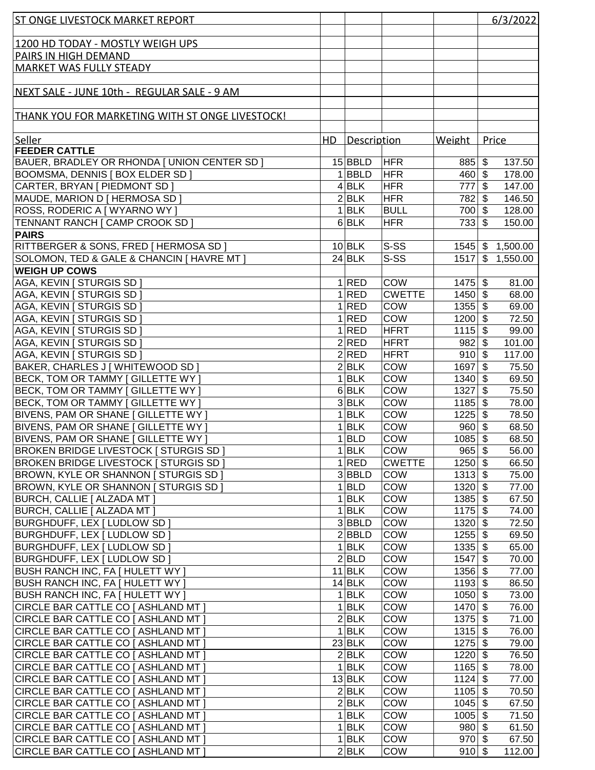| <b>ST ONGE LIVESTOCK MARKET REPORT</b>          |     |                 |               |           |                           | 6/3/2022           |
|-------------------------------------------------|-----|-----------------|---------------|-----------|---------------------------|--------------------|
|                                                 |     |                 |               |           |                           |                    |
| 1200 HD TODAY - MOSTLY WEIGH UPS                |     |                 |               |           |                           |                    |
| PAIRS IN HIGH DEMAND                            |     |                 |               |           |                           |                    |
| <b>MARKET WAS FULLY STEADY</b>                  |     |                 |               |           |                           |                    |
|                                                 |     |                 |               |           |                           |                    |
| NEXT SALE - JUNE 10th - REGULAR SALE - 9 AM     |     |                 |               |           |                           |                    |
|                                                 |     |                 |               |           |                           |                    |
| THANK YOU FOR MARKETING WITH ST ONGE LIVESTOCK! |     |                 |               |           |                           |                    |
|                                                 |     |                 |               |           |                           |                    |
| Seller                                          | HD. | Description     |               | Weight    | Price                     |                    |
| <b>FEEDER CATTLE</b>                            |     |                 |               |           |                           |                    |
| BAUER, BRADLEY OR RHONDA [ UNION CENTER SD ]    |     | 15 BBLD         | <b>HFR</b>    | $885$ \$  |                           | 137.50             |
| BOOMSMA, DENNIS   BOX ELDER SD                  |     | $1$ <b>BBLD</b> | <b>HFR</b>    | 460       | $\sqrt[6]{3}$             | 178.00             |
| CARTER, BRYAN [ PIEDMONT SD ]                   |     | $4$ BLK         | <b>HFR</b>    | 777       | $\sqrt[6]{3}$             | 147.00             |
| MAUDE, MARION D [ HERMOSA SD ]                  |     | 2 BLK           | <b>HFR</b>    | 782       | \$                        | 146.50             |
| ROSS, RODERIC A [ WYARNO WY ]                   |     | $1$ <b>BLK</b>  | <b>BULL</b>   | 700 \$    |                           | 128.00             |
| TENNANT RANCH   CAMP CROOK SD                   |     | $6$ BLK         | <b>HFR</b>    | $733$ \$  |                           | 150.00             |
| <b>PAIRS</b>                                    |     |                 |               |           |                           |                    |
| RITTBERGER & SONS, FRED   HERMOSA SD            |     | $10$ BLK        | S-SS          |           |                           | $1545$ \$ 1,500.00 |
| SOLOMON, TED & GALE & CHANCIN   HAVRE MT ]      |     | $24$ BLK        | S-SS          |           |                           | 1517 \$ 1,550.00   |
| <b>WEIGH UP COWS</b>                            |     |                 |               |           |                           |                    |
| AGA, KEVIN   STURGIS SD                         |     | 1 RED           | COW           | $1475$ \$ |                           | 81.00              |
| AGA, KEVIN   STURGIS SD                         |     | 1 RED           | <b>CWETTE</b> | 1450      | $\sqrt[6]{3}$             | 68.00              |
| AGA, KEVIN   STURGIS SD                         |     | 1 RED           | COW           | $1355$ \$ |                           | 69.00              |
| AGA, KEVIN   STURGIS SD                         |     | 1 RED           | COW           | 1200      | $\sqrt[6]{3}$             | 72.50              |
| AGA, KEVIN [ STURGIS SD ]                       |     | 1 RED           | <b>HFRT</b>   | 1115      | $\sqrt[6]{3}$             | 99.00              |
| AGA, KEVIN [ STURGIS SD ]                       |     | 2 RED           | <b>HFRT</b>   | $982$ \$  |                           | 101.00             |
| AGA, KEVIN [ STURGIS SD ]                       |     | 2 RED           | <b>HFRT</b>   | $910$ \$  |                           | 117.00             |
| BAKER, CHARLES J [ WHITEWOOD SD ]               |     | 2 BLK           | COW           | 1697      | $\sqrt[6]{3}$             | 75.50              |
| BECK, TOM OR TAMMY [ GILLETTE WY ]              |     | $1$ <b>BLK</b>  | COW           | 1340      | $\boldsymbol{\mathsf{s}}$ | 69.50              |
| BECK, TOM OR TAMMY [ GILLETTE WY ]              |     | $6$ BLK         | COW           | 1327      | $\sqrt[6]{\frac{1}{2}}$   | 75.50              |
| BECK, TOM OR TAMMY [ GILLETTE WY ]              |     | 3 BLK           | COW           | 1185      | $\sqrt[6]{3}$             | 78.00              |
| BIVENS, PAM OR SHANE [ GILLETTE WY ]            |     | $1$ <b>BLK</b>  | COW           | 1225      | $\sqrt[6]{3}$             | 78.50              |
| BIVENS, PAM OR SHANE [ GILLETTE WY ]            |     | $1$ <b>BLK</b>  | COW           | $960 $ \$ |                           | 68.50              |
| BIVENS, PAM OR SHANE [ GILLETTE WY ]            |     | $1$ <b>BLD</b>  | COW           | $1085$ \$ |                           | 68.50              |
| <b>BROKEN BRIDGE LIVESTOCK   STURGIS SD</b>     |     | $1$ <b>BLK</b>  | <b>COW</b>    | $965$ \$  |                           | 56.00              |
| <b>BROKEN BRIDGE LIVESTOCK [ STURGIS SD ]</b>   |     | 1 RED           | <b>CWETTE</b> | $1250$ \$ |                           | 66.50              |
| BROWN, KYLE OR SHANNON [ STURGIS SD ]           |     | $3 $ BBLD       | COW           | $1313$ \$ |                           | 75.00              |
| BROWN, KYLE OR SHANNON [ STURGIS SD ]           |     | $1 $ BLD        | <b>COW</b>    | $1320$ \$ |                           | 77.00              |
| <b>BURCH, CALLIE [ ALZADA MT ]</b>              |     | $1$ <b>BLK</b>  | COW           | $1385$ \$ |                           | 67.50              |
| <b>BURCH, CALLIE [ ALZADA MT ]</b>              |     | $1$ <b>BLK</b>  | COW           | $1175$ \$ |                           | 74.00              |
| <b>BURGHDUFF, LEX   LUDLOW SD  </b>             |     | $3 $ BBLD       | COW           | $1320$ \$ |                           | 72.50              |
| <b>BURGHDUFF, LEX [ LUDLOW SD ]</b>             |     | 2 BBLD          | COW           | $1255$ \$ |                           | 69.50              |
| BURGHDUFF, LEX [ LUDLOW SD ]                    |     | $1$ <b>BLK</b>  | <b>COW</b>    | $1335$ \$ |                           | 65.00              |
| BURGHDUFF, LEX [ LUDLOW SD ]                    |     | 2 BLD           | <b>COW</b>    | 1547 \$   |                           | 70.00              |
| <b>BUSH RANCH INC, FA [ HULETT WY ]</b>         |     | $11$ BLK        | COW           | $1356$ \$ |                           | 77.00              |
| <b>BUSH RANCH INC, FA [ HULETT WY ]</b>         |     | $14$ BLK        | <b>COW</b>    | $1193$ \$ |                           | 86.50              |
| <b>BUSH RANCH INC, FA [ HULETT WY ]</b>         |     | $1$ <b>BLK</b>  | <b>COW</b>    | 1050      | \$                        | 73.00              |
| CIRCLE BAR CATTLE CO [ ASHLAND MT ]             |     | $1$ <b>BLK</b>  | <b>COW</b>    | $1470$ \$ |                           | 76.00              |
| CIRCLE BAR CATTLE CO   ASHLAND MT               |     | 2 BLK           | <b>COW</b>    | $1375$ \$ |                           | 71.00              |
| CIRCLE BAR CATTLE CO   ASHLAND MT               |     | $1$ <b>BLK</b>  | <b>COW</b>    | $1315$ \$ |                           | 76.00              |
| CIRCLE BAR CATTLE CO [ ASHLAND MT ]             |     | $23$ BLK        | <b>COW</b>    | $1275$ \$ |                           | 79.00              |
| CIRCLE BAR CATTLE CO [ ASHLAND MT ]             |     | $2$ BLK         | <b>COW</b>    | $1220$ \$ |                           | 76.50              |
| CIRCLE BAR CATTLE CO [ ASHLAND MT ]             |     | $1$ <b>BLK</b>  | <b>COW</b>    | $1165$ \$ |                           | 78.00              |
| CIRCLE BAR CATTLE CO [ ASHLAND MT ]             |     | $13$ BLK        | <b>COW</b>    | $1124$ \$ |                           | 77.00              |
| CIRCLE BAR CATTLE CO [ ASHLAND MT ]             |     | 2 BLK           | <b>COW</b>    | 1105      | \$                        | 70.50              |
| CIRCLE BAR CATTLE CO [ ASHLAND MT ]             |     | 2 BLK           | <b>COW</b>    | 1045      | \$                        | 67.50              |
| CIRCLE BAR CATTLE CO [ ASHLAND MT ]             |     | $1$ <b>BLK</b>  | <b>COW</b>    | $1005$ \$ |                           | 71.50              |
| CIRCLE BAR CATTLE CO [ ASHLAND MT ]             |     | $1$ <b>BLK</b>  | <b>COW</b>    | $980 $ \$ |                           | 61.50              |
| CIRCLE BAR CATTLE CO [ ASHLAND MT ]             |     | $1$ <b>BLK</b>  | <b>COW</b>    | $970$ \$  |                           | 67.50              |
| <b>CIRCLE BAR CATTLE CO   ASHLAND MT  </b>      |     | 2 BLK           | <b>COW</b>    | $910$ \$  |                           | 112.00             |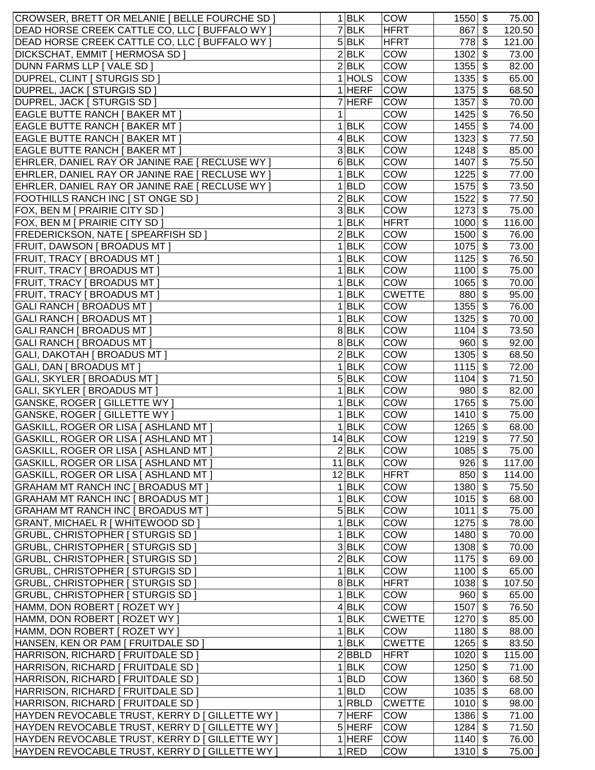| CROWSER, BRETT OR MELANIE   BELLE FOURCHE SD ]                                 |                | $1$ <b>BLK</b>     | <b>COW</b>    | $1550$ \$                   |                           | 75.00  |
|--------------------------------------------------------------------------------|----------------|--------------------|---------------|-----------------------------|---------------------------|--------|
| DEAD HORSE CREEK CATTLE CO, LLC   BUFFALO WY                                   |                | $\overline{7}$ BLK | <b>HFRT</b>   | 867                         | $\boldsymbol{\mathsf{S}}$ | 120.50 |
| DEAD HORSE CREEK CATTLE CO, LLC   BUFFALO WY                                   |                | $5$ BLK            | <b>HFRT</b>   | 778                         | \$                        | 121.00 |
| DICKSCHAT, EMMIT   HERMOSA SD                                                  |                | 2 BLK              | COW           | 1302                        | $\boldsymbol{\mathsf{S}}$ | 73.00  |
| DUNN FARMS LLP [ VALE SD ]                                                     |                | 2 BLK              | <b>COW</b>    | 1355                        | \$                        | 82.00  |
| DUPREL, CLINT   STURGIS SD                                                     |                | 1 HOLS             | COW           | 1335                        | $\boldsymbol{\mathsf{s}}$ | 65.00  |
| DUPREL, JACK [ STURGIS SD ]                                                    |                | $1$ HERF           | COW           | 1375                        | \$                        | 68.50  |
| DUPREL, JACK   STURGIS SD                                                      | $\overline{7}$ | <b>HERF</b>        | COW           | 1357                        | $\mathfrak{F}$            | 70.00  |
| <b>EAGLE BUTTE RANCH [ BAKER MT ]</b>                                          | 1              |                    | COW           | 1425                        | \$                        | 76.50  |
| <b>EAGLE BUTTE RANCH [ BAKER MT ]</b>                                          | 1              | <b>BLK</b>         | <b>COW</b>    | 1455                        | \$                        | 74.00  |
| <b>EAGLE BUTTE RANCH [ BAKER MT ]</b>                                          |                | $4$ <b>BLK</b>     | COW           | 1323                        | \$                        | 77.50  |
| <b>EAGLE BUTTE RANCH [ BAKER MT ]</b>                                          |                | $3$ <b>BLK</b>     | COW           | 1248                        | \$                        | 85.00  |
| EHRLER, DANIEL RAY OR JANINE RAE   RECLUSE WY                                  |                | 6BLK               | COW           | 1407                        | $\boldsymbol{\mathsf{S}}$ | 75.50  |
| EHRLER, DANIEL RAY OR JANINE RAE [ RECLUSE WY ]                                | 1              | <b>BLK</b>         | COW           | 1225                        | $\mathfrak{S}$            | 77.00  |
| EHRLER, DANIEL RAY OR JANINE RAE   RECLUSE WY                                  | 1              | <b>BLD</b>         | COW           | 1575                        | $\sqrt[6]{\frac{1}{2}}$   | 73.50  |
| <b>FOOTHILLS RANCH INC [ ST ONGE SD ]</b>                                      |                | 2 BLK              | COW           | 1522                        | $\sqrt[6]{3}$             | 77.50  |
| FOX, BEN M [ PRAIRIE CITY SD ]                                                 |                | 3 BLK              | COW           | 1273                        | $\sqrt[6]{3}$             | 75.00  |
| FOX, BEN M [ PRAIRIE CITY SD ]                                                 | 1              | <b>BLK</b>         | <b>HFRT</b>   | 1000                        | $\mathfrak{F}$            | 116.00 |
| <b>FREDERICKSON, NATE [ SPEARFISH SD ]</b>                                     |                | $2$ <b>BLK</b>     | <b>COW</b>    | 1500                        | $\boldsymbol{\mathsf{S}}$ | 76.00  |
| <b>FRUIT, DAWSON [ BROADUS MT ]</b>                                            | 1              | <b>BLK</b>         | <b>COW</b>    | 1075                        | \$                        | 73.00  |
| <b>FRUIT, TRACY [ BROADUS MT ]</b>                                             | 1              | <b>BLK</b>         | <b>COW</b>    | 1125                        | $\boldsymbol{\mathsf{s}}$ | 76.50  |
| <b>FRUIT, TRACY [ BROADUS MT ]</b>                                             | 1              | <b>BLK</b>         | <b>COW</b>    | 1100                        | $\boldsymbol{\mathsf{s}}$ | 75.00  |
| <b>FRUIT, TRACY [ BROADUS MT ]</b>                                             | 1              | <b>BLK</b>         | COW           | 1065                        | $\boldsymbol{\mathsf{s}}$ | 70.00  |
| <b>FRUIT, TRACY [ BROADUS MT ]</b>                                             | $\mathbf 1$    | <b>BLK</b>         | <b>CWETTE</b> | 880                         | \$                        | 95.00  |
| <b>GALI RANCH [ BROADUS MT ]</b>                                               | 1              | <b>BLK</b>         | COW           | 1355                        | \$                        | 76.00  |
| <b>GALI RANCH [ BROADUS MT ]</b>                                               |                | $1$ BLK            | COW           | 1325                        | \$                        | 70.00  |
| <b>GALI RANCH [ BROADUS MT ]</b>                                               |                | 8BLK               | COW           | 1104                        | \$                        | 73.50  |
| <b>GALI RANCH [ BROADUS MT ]</b>                                               |                | 8BLK               | COW           | 960                         | \$                        | 92.00  |
| GALI, DAKOTAH [ BROADUS MT ]                                                   |                | 2 BLK              | COW           | 1305                        | $\sqrt[6]{3}$             | 68.50  |
| GALI, DAN [ BROADUS MT ]                                                       |                | $1$ <b>BLK</b>     | COW           | $1115$ \$                   |                           | 72.00  |
| GALI, SKYLER [ BROADUS MT ]                                                    |                | $5$ BLK            | COW           | 1104                        | $\sqrt[6]{\frac{1}{2}}$   | 71.50  |
| <b>GALI, SKYLER [ BROADUS MT ]</b>                                             | 1              | <b>BLK</b>         | COW           | $980\overline{\text{S}}$    |                           | 82.00  |
| GANSKE, ROGER   GILLETTE WY                                                    | 1              | <b>BLK</b>         | COW           | $1765 \overline{\smash{3}}$ |                           | 75.00  |
| GANSKE, ROGER   GILLETTE WY                                                    | 1              | <b>BLK</b>         | COW           | $1410$ \$                   |                           | 75.00  |
| GASKILL, ROGER OR LISA [ ASHLAND MT ]                                          | 1              | <b>BLK</b>         | <b>COW</b>    | 1265                        | $\mathfrak{F}$            | 68.00  |
| GASKILL, ROGER OR LISA [ ASHLAND MT ]                                          |                | $14$ BLK           | COW           | $1219$ \$                   |                           | 77.50  |
| GASKILL, ROGER OR LISA [ ASHLAND MT                                            |                | $2$ <b>BLK</b>     | COW           | $1085$ \$                   |                           | 75.00  |
|                                                                                |                | $11$ BLK           | <b>COW</b>    | $926$ \$                    |                           | 117.00 |
| GASKILL, ROGER OR LISA [ ASHLAND MT ]<br>GASKILL, ROGER OR LISA [ ASHLAND MT ] |                | $12$ <b>BLK</b>    | <b>HFRT</b>   | 850 \$                      |                           | 114.00 |
| <b>GRAHAM MT RANCH INC [ BROADUS MT ]</b>                                      |                | $1$ BLK            | <b>COW</b>    | $1380$ \$                   |                           | 75.50  |
| <b>GRAHAM MT RANCH INC [ BROADUS MT ]</b>                                      |                | $1$ BLK            | COW           | $1015$ \$                   |                           | 68.00  |
|                                                                                |                |                    | COW           | 1011S                       |                           |        |
| <b>GRAHAM MT RANCH INC [ BROADUS MT ]</b>                                      |                | 5 BLK              |               |                             |                           | 75.00  |
| GRANT, MICHAEL R [ WHITEWOOD SD ]                                              |                | $1$ <b>BLK</b>     | COW           | $1275$ \$                   |                           | 78.00  |
| <b>GRUBL, CHRISTOPHER   STURGIS SD  </b>                                       |                | $1$ <b>BLK</b>     | COW           | 1480 \$                     |                           | 70.00  |
| GRUBL, CHRISTOPHER [ STURGIS SD                                                |                | 3 BLK              | COW           | $1308$ \$                   |                           | 70.00  |
| GRUBL, CHRISTOPHER [ STURGIS SD                                                |                | 2 BLK              | COW           | $1175$ \$                   |                           | 69.00  |
| GRUBL, CHRISTOPHER [ STURGIS SD ]                                              |                | $1$ <b>BLK</b>     | <b>COW</b>    | $1100$ \$                   |                           | 65.00  |
| GRUBL, CHRISTOPHER [ STURGIS SD ]                                              |                | 8BLK               | <b>HFRT</b>   | $1038$ \$                   |                           | 107.50 |
| GRUBL, CHRISTOPHER [ STURGIS SD ]                                              |                | $1$ <b>BLK</b>     | COW           | $960 $ \$                   |                           | 65.00  |
| HAMM, DON ROBERT [ ROZET WY ]                                                  |                | $4$ BLK            | COW           | 1507 \$                     |                           | 76.50  |
| HAMM, DON ROBERT   ROZET WY ]                                                  |                | $1$ <b>BLK</b>     | <b>CWETTE</b> | $1270$ \$                   |                           | 85.00  |
| HAMM, DON ROBERT   ROZET WY ]                                                  |                | $1$ <b>BLK</b>     | COW           | 1180                        | \$                        | 88.00  |
| HANSEN, KEN OR PAM [ FRUITDALE SD ]                                            |                | $1$ <b>BLK</b>     | <b>CWETTE</b> | $1265$ \$                   |                           | 83.50  |
| HARRISON, RICHARD   FRUITDALE SD                                               |                | 2 BBLD             | <b>HFRT</b>   | $1020$ \$                   |                           | 115.00 |
| HARRISON, RICHARD   FRUITDALE SD                                               |                | $1$ BLK            | <b>COW</b>    | $1250$ \$                   |                           | 71.00  |
| HARRISON, RICHARD   FRUITDALE SD                                               |                | $1 $ BLD           | <b>COW</b>    | 1360 \$                     |                           | 68.50  |
| HARRISON, RICHARD   FRUITDALE SD ]                                             |                | $1$ BLD            | <b>COW</b>    | $1035$ \$                   |                           | 68.00  |
| HARRISON, RICHARD   FRUITDALE SD ]                                             |                | $1 $ RBLD          | <b>CWETTE</b> | $1010$ \$                   |                           | 98.00  |
| HAYDEN REVOCABLE TRUST, KERRY D [ GILLETTE WY ]                                |                | 7 HERF             | COW           | 1386 \$                     |                           | 71.00  |
| HAYDEN REVOCABLE TRUST, KERRY D [ GILLETTE WY ]                                |                | $5$ HERF           | <b>COW</b>    | $1284$ \$                   |                           | 71.50  |
| HAYDEN REVOCABLE TRUST, KERRY D [ GILLETTE WY ]                                |                | $1$ HERF           | <b>COW</b>    | $1140$ \$                   |                           | 76.00  |
| HAYDEN REVOCABLE TRUST, KERRY D J GILLETTE WY ]                                |                | 1 RED              | COW           | 1310 \$                     |                           | 75.00  |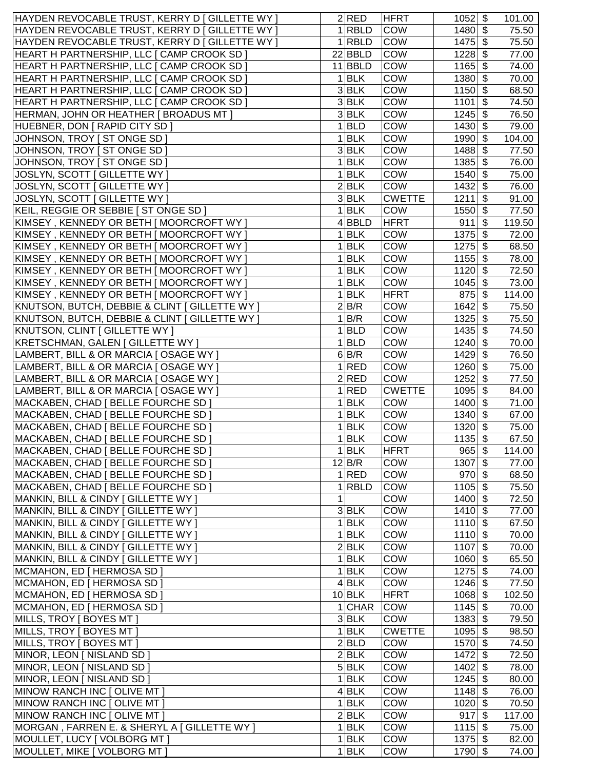| HAYDEN REVOCABLE TRUST, KERRY D   GILLETTE WY                |              | 2 RED                            | <b>HFRT</b>       | $1052$ \$            |                           | 101.00         |
|--------------------------------------------------------------|--------------|----------------------------------|-------------------|----------------------|---------------------------|----------------|
| HAYDEN REVOCABLE TRUST, KERRY D   GILLETTE WY                |              | $1 $ RBLD                        | COW               | 1480 \$              |                           | 75.50          |
| HAYDEN REVOCABLE TRUST, KERRY D [ GILLETTE WY ]              |              | $1 $ RBLD                        | COW               | 1475                 | $\boldsymbol{\mathsf{S}}$ | 75.50          |
| HEART H PARTNERSHIP, LLC [ CAMP CROOK SD ]                   |              | 22 BBLD                          | COW               | 1228                 | \$                        | 77.00          |
| HEART H PARTNERSHIP, LLC [ CAMP CROOK SD ]                   |              | $11$ <b>BBLD</b>                 | COW               | $1165$ \$            |                           | 74.00          |
| HEART H PARTNERSHIP, LLC [ CAMP CROOK SD ]                   |              | $1$ <b>BLK</b>                   | <b>COW</b>        | 1380 \$              |                           | 70.00          |
| HEART H PARTNERSHIP, LLC [ CAMP CROOK SD ]                   |              | $3$ <b>BLK</b>                   | COW               | $1150$ \$            |                           | 68.50          |
| HEART H PARTNERSHIP, LLC [ CAMP CROOK SD ]                   |              | $3$ <b>BLK</b>                   | COW               | 1101                 | \$                        | 74.50          |
| HERMAN, JOHN OR HEATHER   BROADUS MT                         |              | $3$ BLK                          | COW               | $1245$ \$            |                           | 76.50          |
| HUEBNER, DON [ RAPID CITY SD ]                               |              | $1$ <b>BLD</b>                   | COW               | $1430$ \$            |                           | 79.00          |
| JOHNSON, TROY   ST ONGE SD                                   |              | $1$ <b>BLK</b>                   | COW               | 1990                 | -\$                       | 104.00         |
| JOHNSON, TROY   ST ONGE SD                                   |              | $3$ BLK                          | COW               | $1488$ \$            |                           | 77.50          |
| JOHNSON, TROY [ ST ONGE SD ]                                 |              | $1$ <b>BLK</b>                   | COW               | $1385$ \$            |                           | 76.00          |
| JOSLYN, SCOTT [ GILLETTE WY ]                                |              | $1$ <b>BLK</b>                   | COW               | $1540$ \$            |                           | 75.00          |
| JOSLYN, SCOTT   GILLETTE WY                                  |              | 2 BLK                            | COW               | $1432$ \$            |                           | 76.00          |
| JOSLYN, SCOTT   GILLETTE WY                                  |              | $3$ <b>BLK</b>                   | <b>CWETTE</b>     | 1211                 | $\mathfrak{S}$            |                |
|                                                              |              |                                  |                   |                      |                           | 91.00          |
| KEIL, REGGIE OR SEBBIE   ST ONGE SD                          |              | $1$ <b>BLK</b>                   | COW               | 1550                 | \$                        | 77.50          |
| KIMSEY, KENNEDY OR BETH [ MOORCROFT WY ]                     |              | 4 BBLD                           | <b>HFRT</b>       | 911                  | $\boldsymbol{\mathsf{S}}$ | 119.50         |
| KIMSEY, KENNEDY OR BETH [ MOORCROFT WY ]                     | 1            | <b>BLK</b>                       | <b>COW</b>        | 1375                 | $\boldsymbol{\mathsf{S}}$ | 72.00          |
| KIMSEY, KENNEDY OR BETH [ MOORCROFT WY ]                     | 1            | <b>BLK</b>                       | <b>COW</b>        | 1275                 | $\boldsymbol{\mathsf{S}}$ | 68.50          |
| KIMSEY, KENNEDY OR BETH [ MOORCROFT WY ]                     |              | $1$ <b>BLK</b>                   | <b>COW</b>        | 1155                 | \$                        | 78.00          |
| KIMSEY, KENNEDY OR BETH [ MOORCROFT WY ]                     | 1            | <b>BLK</b>                       | <b>COW</b>        | 1120                 | $\boldsymbol{\mathsf{S}}$ | 72.50          |
| KIMSEY, KENNEDY OR BETH [ MOORCROFT WY ]                     |              | $1$ <b>BLK</b>                   | <b>COW</b>        | 1045                 | $\boldsymbol{\mathsf{S}}$ | 73.00          |
| KIMSEY, KENNEDY OR BETH [ MOORCROFT WY ]                     |              | $1$ <b>BLK</b>                   | <b>HFRT</b>       | 875                  | \$                        | 114.00         |
| KNUTSON, BUTCH, DEBBIE & CLINT   GILLETTE WY                 |              | 2 B/R                            | <b>COW</b>        | 1642                 | \$                        | 75.50          |
| KNUTSON, BUTCH, DEBBIE & CLINT   GILLETTE WY                 |              | 1 B/R                            | <b>COW</b>        | $1325$ \$            |                           | 75.50          |
| KNUTSON, CLINT   GILLETTE WY                                 |              | $1 $ BLD                         | <b>COW</b>        | 1435                 | \$                        | 74.50          |
| KRETSCHMAN, GALEN [ GILLETTE WY ]                            |              | $1 $ BLD                         | COW               | $1240$ \$            |                           | 70.00          |
| LAMBERT, BILL & OR MARCIA [ OSAGE WY ]                       |              | $6$ B/R                          | COW               | 1429 \$              |                           | 76.50          |
| LAMBERT, BILL & OR MARCIA [ OSAGE WY ]                       |              | 1 RED                            | COW               | $1260$ \$            |                           | 75.00          |
| LAMBERT, BILL & OR MARCIA [ OSAGE WY ]                       |              | 2 RED                            | COW               | $1252$ \$            |                           | 77.50          |
| LAMBERT, BILL & OR MARCIA [ OSAGE WY ]                       |              | 1 RED                            | <b>CWETTE</b>     | $1095$ \$            |                           | 84.00          |
| MACKABEN, CHAD [ BELLE FOURCHE SD ]                          |              | $1$ <b>BLK</b>                   | COW               | $1400$ \$            |                           | 71.00          |
| MACKABEN, CHAD [ BELLE FOURCHE SD ]                          | 1            | <b>BLK</b>                       | COW               | $1340$ \$            |                           | 67.00          |
| MACKABEN, CHAD   BELLE FOURCHE SD                            | $\mathbf{1}$ | <b>BLK</b>                       | COW               | 1320                 | \$                        | 75.00          |
| MACKABEN, CHAD   BELLE FOURCHE SD                            | 1            | <b>BLK</b>                       | COW               | 1135                 | \$                        | 67.50          |
| MACKABEN, CHAD [ BELLE FOURCHE SD ]                          |              | $1$ <b>BLK</b>                   | <b>HFRT</b>       | $965$ \$             |                           | 114.00         |
| MACKABEN, CHAD [ BELLE FOURCHE SD ]                          |              | 12 B/R                           | <b>COW</b>        | $1307$ \$            |                           | 77.00          |
| MACKABEN, CHAD   BELLE FOURCHE SD                            |              | 1 RED                            | COW               | $970$ \$             |                           | 68.50          |
| MACKABEN, CHAD   BELLE FOURCHE SD                            |              | 1 RBLD                           | COW               | $1105$ \$            |                           | 75.50          |
| MANKIN, BILL & CINDY   GILLETTE WY                           | 1            |                                  | <b>COW</b>        | $1400$ \$            |                           | 72.50          |
| MANKIN, BILL & CINDY [ GILLETTE WY ]                         |              | $3$ BLK                          | <b>COW</b>        | 1410S                |                           | 77.00          |
| MANKIN, BILL & CINDY   GILLETTE WY                           |              | $1$ <b>BLK</b>                   | COW               | 1110S                |                           | 67.50          |
| MANKIN, BILL & CINDY   GILLETTE WY                           |              | $1$ <b>BLK</b>                   | <b>COW</b>        | 1110S                |                           | 70.00          |
| MANKIN, BILL & CINDY [ GILLETTE WY ]                         |              | 2 BLK                            | COW               | 1107 \$              |                           | 70.00          |
| MANKIN, BILL & CINDY [ GILLETTE WY ]                         |              | $1$ <b>BLK</b>                   | COW               | $1060$ \$            |                           | 65.50          |
| MCMAHON, ED [ HERMOSA SD ]                                   |              | $1$ <b>BLK</b>                   | COW               | $1275$ \$            |                           | 74.00          |
| MCMAHON, ED [ HERMOSA SD ]                                   |              | $4$ BLK                          | COW               | $1246$ \$            |                           | 77.50          |
| MCMAHON, ED   HERMOSA SD                                     |              | $10$ BLK                         | <b>HFRT</b>       | $1068$ \$            |                           | 102.50         |
|                                                              |              | $1$ CHAR                         | COW               | $1145$ \$            |                           |                |
| MCMAHON, ED   HERMOSA SD                                     |              | $3$ BLK                          | COW               | $1383$ \$            |                           | 70.00          |
| MILLS, TROY [ BOYES MT ]                                     |              |                                  |                   |                      |                           | 79.50          |
| MILLS, TROY [ BOYES MT ]                                     |              | $1$ <b>BLK</b>                   | <b>CWETTE</b>     | $1095$ \$            |                           | 98.50          |
| MILLS, TROY [ BOYES MT ]                                     |              | 2 BLD                            | COW               | 1570 \$              |                           | 74.50          |
| MINOR, LEON [ NISLAND SD ]                                   |              | $2$ <b>BLK</b>                   | COW               | $1472$ \$            |                           | 72.50          |
| MINOR, LEON [ NISLAND SD ]                                   |              | 5 BLK                            | <b>COW</b>        | $1402$ \$            |                           | 78.00          |
| MINOR, LEON   NISLAND SD                                     |              | $1$ <b>BLK</b>                   | <b>COW</b>        | $1245$ \$            |                           | 80.00          |
| MINOW RANCH INC [ OLIVE MT ]                                 |              | 4 BLK                            | <b>COW</b>        | $1148$ \$            |                           | 76.00          |
| MINOW RANCH INC [ OLIVE MT ]                                 |              | $1$ <b>BLK</b>                   | <b>COW</b>        | 1020 \$              |                           | 70.50          |
| MINOW RANCH INC [ OLIVE MT ]                                 |              | 2 BLK                            | <b>COW</b>        | $917$ \$             |                           | 117.00         |
| MORGAN, FARREN E. & SHERYL A [ GILLETTE WY ]                 |              | $1$ <b>BLK</b>                   | COW               | $1115$ \$            |                           | 75.00          |
|                                                              |              |                                  |                   |                      |                           |                |
| MOULLET, LUCY   VOLBORG MT  <br>MOULLET, MIKE [ VOLBORG MT ] |              | $1$ <b>BLK</b><br>$1$ <b>BLK</b> | <b>COW</b><br>COW | $1375$ \$<br>1790 \$ |                           | 82.00<br>74.00 |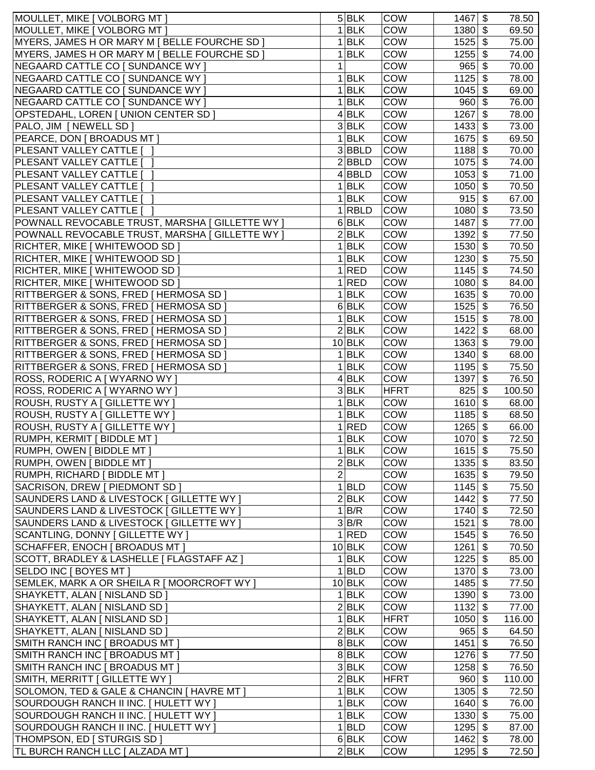| MOULLET, MIKE [ VOLBORG MT ]                    |                | $5$ BLK        | <b>COW</b>  | 1467                         | \$                        | 78.50  |
|-------------------------------------------------|----------------|----------------|-------------|------------------------------|---------------------------|--------|
| MOULLET, MIKE   VOLBORG MT                      | $\mathbf{1}$   | <b>BLK</b>     | <b>COW</b>  | 1380                         | $\boldsymbol{\mathsf{s}}$ | 69.50  |
| MYERS, JAMES H OR MARY M   BELLE FOURCHE SD     | 1              | <b>BLK</b>     | <b>COW</b>  | 1525                         | \$                        | 75.00  |
| MYERS, JAMES H OR MARY M   BELLE FOURCHE SD     | 1              | <b>BLK</b>     | COW         | 1255                         | $\boldsymbol{\mathsf{s}}$ | 74.00  |
| NEGAARD CATTLE CO [ SUNDANCE WY ]               | 1              |                | <b>COW</b>  | 965                          | $\boldsymbol{\mathsf{S}}$ | 70.00  |
| NEGAARD CATTLE CO [ SUNDANCE WY ]               | 1              | <b>BLK</b>     | <b>COW</b>  | 1125                         | $\mathfrak{F}$            | 78.00  |
| NEGAARD CATTLE CO [ SUNDANCE WY ]               |                | $1$ <b>BLK</b> | <b>COW</b>  | 1045                         | \$                        | 69.00  |
| NEGAARD CATTLE CO   SUNDANCE WY                 | 1              | <b>BLK</b>     | COW         | 960                          | \$                        | 76.00  |
| OPSTEDAHL, LOREN [ UNION CENTER SD ]            |                | $4$ <b>BLK</b> | COW         | 1267                         | $\boldsymbol{\mathsf{S}}$ | 78.00  |
| PALO, JIM   NEWELL SD                           |                | 3 BLK          | COW         | 1433                         | $\mathfrak{F}$            | 73.00  |
| PEARCE, DON [ BROADUS MT ]                      |                | $1$ <b>BLK</b> | COW         | 1675                         | \$                        | 69.50  |
| PLESANT VALLEY CATTLE [                         |                | $3 $ BBLD      | COW         | $1188$ \$                    |                           | 70.00  |
| PLESANT VALLEY CATTLE [                         |                | 2 BBLD         | COW         | $1075$ \$                    |                           | 74.00  |
| PLESANT VALLEY CATTLE [                         |                | 4 BBLD         | COW         | 1053                         | \$                        | 71.00  |
| PLESANT VALLEY CATTLE [                         | 1              | <b>BLK</b>     | <b>COW</b>  | 1050                         | \$                        | 70.50  |
| PLESANT VALLEY CATTLE [                         | 1              | <b>BLK</b>     | COW         | 915                          | $\mathfrak{S}$            | 67.00  |
| PLESANT VALLEY CATTLE I                         | 1              | <b>RBLD</b>    | COW         | 1080                         | $\mathfrak{L}$            | 73.50  |
| POWNALL REVOCABLE TRUST, MARSHA [ GILLETTE WY ] |                | $6$ BLK        | <b>COW</b>  | 1487                         | $\mathfrak{s}$            | 77.00  |
|                                                 |                | $2$ <b>BLK</b> |             |                              |                           |        |
| POWNALL REVOCABLE TRUST, MARSHA [ GILLETTE WY ] |                |                | <b>COW</b>  | 1392                         | $\boldsymbol{\mathsf{S}}$ | 77.50  |
| RICHTER, MIKE [ WHITEWOOD SD ]                  | 1              | <b>BLK</b>     | <b>COW</b>  | 1530                         | $\boldsymbol{\mathsf{s}}$ | 70.50  |
| RICHTER, MIKE [ WHITEWOOD SD ]                  | 1              | <b>BLK</b>     | COW         | 1230                         | $\boldsymbol{\mathsf{S}}$ | 75.50  |
| RICHTER, MIKE [ WHITEWOOD SD ]                  |                | $1$ RED        | <b>COW</b>  | 1145                         | $\boldsymbol{\mathsf{S}}$ | 74.50  |
| RICHTER, MIKE [ WHITEWOOD SD ]                  | 1              | <b>RED</b>     | COW         | 1080                         | $\mathfrak{F}$            | 84.00  |
| RITTBERGER & SONS, FRED   HERMOSA SD            | $\mathbf 1$    | <b>BLK</b>     | <b>COW</b>  | $1635$ \$                    |                           | 70.00  |
| RITTBERGER & SONS, FRED   HERMOSA SD            |                | $6$ BLK        | COW         | $1525$ \$                    |                           | 76.50  |
| RITTBERGER & SONS, FRED   HERMOSA SD            |                | $1$ BLK        | COW         | 1515                         | \$                        | 78.00  |
| RITTBERGER & SONS, FRED [ HERMOSA SD ]          |                | 2 BLK          | COW         | 1422                         | $\boldsymbol{\mathsf{s}}$ | 68.00  |
| RITTBERGER & SONS, FRED   HERMOSA SD            |                | $10$ BLK       | COW         | 1363                         | \$                        | 79.00  |
| RITTBERGER & SONS, FRED   HERMOSA SD            |                | $1$ <b>BLK</b> | COW         | 1340                         | $\sqrt[6]{3}$             | 68.00  |
| RITTBERGER & SONS, FRED   HERMOSA SD            |                | $1$ <b>BLK</b> | COW         | $1195$ \$                    |                           | 75.50  |
| ROSS, RODERIC A [ WYARNO WY ]                   |                | 4 BLK          | COW         | 1397                         | $\boldsymbol{\mathsf{S}}$ | 76.50  |
| ROSS, RODERIC A [ WYARNO WY ]                   |                | 3 BLK          | <b>HFRT</b> | $825$ \$                     |                           | 100.50 |
| ROUSH, RUSTY A [ GILLETTE WY ]                  | 1              | <b>BLK</b>     | COW         | $1610 \overline{\frac{1}{}}$ |                           | 68.00  |
| ROUSH, RUSTY A [ GILLETTE WY ]                  | 1              | <b>BLK</b>     | COW         | $1185$ \$                    |                           | 68.50  |
| ROUSH, RUSTY A [ GILLETTE WY ]                  | 1              | <b>RED</b>     | <b>COW</b>  | 1265                         | $\mathfrak s$             | 66.00  |
| RUMPH, KERMIT   BIDDLE MT                       | 1              | <b>BLK</b>     | COW         | 1070                         | \$                        | 72.50  |
| RUMPH, OWEN [ BIDDLE MT ]                       |                | $1$ <b>BLK</b> | COW         | $1615 - $$                   |                           | 75.50  |
| RUMPH, OWEN   BIDDLE MT                         |                | 2 BLK          | <b>COW</b>  | $1335$ \$                    |                           | 83.50  |
| RUMPH, RICHARD   BIDDLE MT                      | $\overline{2}$ |                | <b>COW</b>  | $1635$ \$                    |                           | 79.50  |
| SACRISON, DREW [ PIEDMONT SD ]                  |                | $1$ <b>BLD</b> | <b>COW</b>  | $1145$ \$                    |                           | 75.50  |
| SAUNDERS LAND & LIVESTOCK   GILLETTE WY         |                | 2 BLK          | <b>COW</b>  | $1442$ \$                    |                           | 77.50  |
| SAUNDERS LAND & LIVESTOCK   GILLETTE WY         |                | $1$ B/R        | COW         | 1740 \$                      |                           | 72.50  |
| SAUNDERS LAND & LIVESTOCK   GILLETTE WY         |                | $3$ B/R        | <b>COW</b>  | $1521$ \$                    |                           | 78.00  |
| SCANTLING, DONNY [ GILLETTE WY ]                |                | 1 RED          | <b>COW</b>  | 1545 \$                      |                           | 76.50  |
| SCHAFFER, ENOCH [ BROADUS MT ]                  |                | $10$ BLK       | COW         | $1261$ \$                    |                           | 70.50  |
| SCOTT, BRADLEY & LASHELLE   FLAGSTAFF AZ ]      |                | $1$ <b>BLK</b> | COW         | $1225$ \$                    |                           | 85.00  |
| SELDO INC [ BOYES MT ]                          |                | $1$ <b>BLD</b> | COW         | 1370 \$                      |                           | 73.00  |
| SEMLEK, MARK A OR SHEILA R   MOORCROFT WY ]     |                | $10$ BLK       | COW         | $1485$ \$                    |                           | 77.50  |
|                                                 |                | $1$ BLK        | COW         | $1390 \overline{\$}$         |                           |        |
| SHAYKETT, ALAN [ NISLAND SD ]                   |                |                |             |                              |                           | 73.00  |
| SHAYKETT, ALAN [ NISLAND SD ]                   |                | 2 BLK          | COW         | $1132$ \$                    |                           | 77.00  |
| SHAYKETT, ALAN [ NISLAND SD ]                   |                | $1$ <b>BLK</b> | <b>HFRT</b> | $1050$ \$                    |                           | 116.00 |
| SHAYKETT, ALAN [ NISLAND SD ]                   |                | 2 BLK          | <b>COW</b>  | 965                          | \$                        | 64.50  |
| SMITH RANCH INC [ BROADUS MT ]                  |                | 8BLK           | <b>COW</b>  | 1451                         | $\boldsymbol{\mathsf{S}}$ | 76.50  |
| SMITH RANCH INC [ BROADUS MT ]                  |                | 8BLK           | <b>COW</b>  | $1276$ \$                    |                           | 77.50  |
| SMITH RANCH INC [ BROADUS MT ]                  |                | 3 BLK          | <b>COW</b>  | $1258$ \$                    |                           | 76.50  |
| SMITH, MERRITT [ GILLETTE WY ]                  |                | $2$ BLK        | <b>HFRT</b> | 960 S                        |                           | 110.00 |
| SOLOMON, TED & GALE & CHANCIN   HAVRE MT        |                | $1$ BLK        | <b>COW</b>  | $1305$ \$                    |                           | 72.50  |
| SOURDOUGH RANCH II INC. [ HULETT WY ]           |                | $1$ BLK        | <b>COW</b>  | 1640 \$                      |                           | 76.00  |
| SOURDOUGH RANCH II INC. [ HULETT WY ]           |                | $1$ BLK        | <b>COW</b>  | $1330$ \$                    |                           | 75.00  |
| SOURDOUGH RANCH II INC. [ HULETT WY ]           |                | $1 $ BLD       | <b>COW</b>  | $1295$ \$                    |                           | 87.00  |
| THOMPSON, ED [ STURGIS SD ]                     |                | 6 BLK          | <b>COW</b>  | 1462 \$                      |                           | 78.00  |
| TL BURCH RANCH LLC [ ALZADA MT ]                |                | 2 BLK          | COW         | $1295$ \$                    |                           | 72.50  |